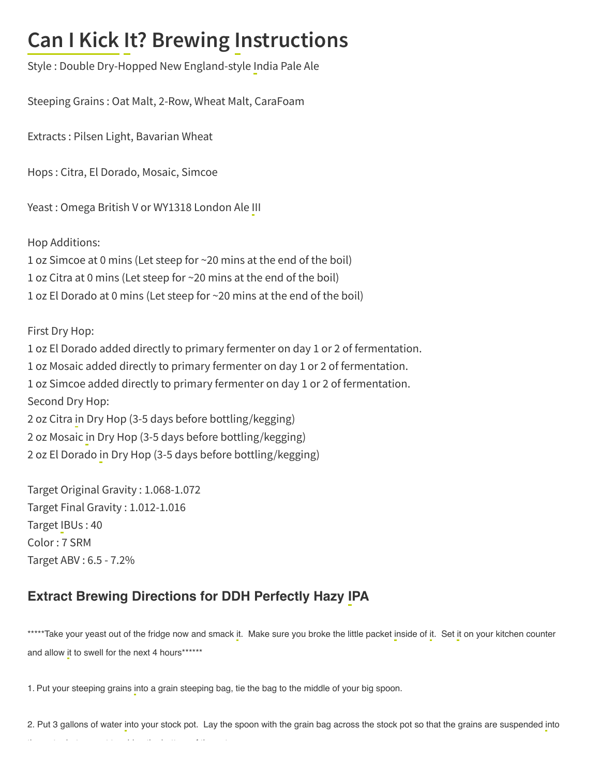## **Can I Kick It? Brewing Instructions**

Style : Double Dry-Hopped New England-style India Pale Ale

Steeping Grains : Oat Malt, 2-Row, Wheat Malt, CaraFoam

Extracts : Pilsen Light, Bavarian Wheat

Hops : Citra, El Dorado, Mosaic, Simcoe

Yeast : Omega British V or WY1318 London Ale III

Hop Additions:

1 oz Simcoe at 0 mins (Let steep for ~20 mins at the end of the boil) 1 oz Citra at 0 mins (Let steep for ~20 mins at the end of the boil) 1 oz El Dorado at 0 mins (Let steep for ~20 mins at the end of the boil)

First Dry Hop:

 oz El Dorado added directly to primary fermenter on day 1 or 2 of fermentation. oz Mosaic added directly to primary fermenter on day 1 or 2 of fermentation. oz Simcoe added directly to primary fermenter on day 1 or 2 of fermentation. Second Dry Hop: oz Citra in Dry Hop (3-5 days before bottling/kegging) oz Mosaic in Dry Hop (3-5 days before bottling/kegging) oz El Dorado in Dry Hop (3-5 days before bottling/kegging)

Target Original Gravity : 1.068-1.072 Target Final Gravity : 1.012-1.016 Target IBUs : 40 Color : 7 SRM Target ABV : 6.5 - 7.2%

## Extract Brewing Directions for DDH Perfectly Hazy IPA

\*\*\*\*\*Take your yeast out of the fridge now and smack it. Make sure you broke the little packet inside of it. Set it on your kitchen counter and allow it to swell for the next 4 hours\*\*\*\*\*\*

1. Put your steeping grains into a grain steeping bag, tie the bag to the middle of your big spoon.

2. Put 3 gallons of water into your stock pot. Lay the spoon with the grain bag across the stock pot so that the grains are suspended into th the transformation of the three contributions of the transformation of the three contributions of the three<br>The three contributions of the three contributions of the three contributions of the three contributions of th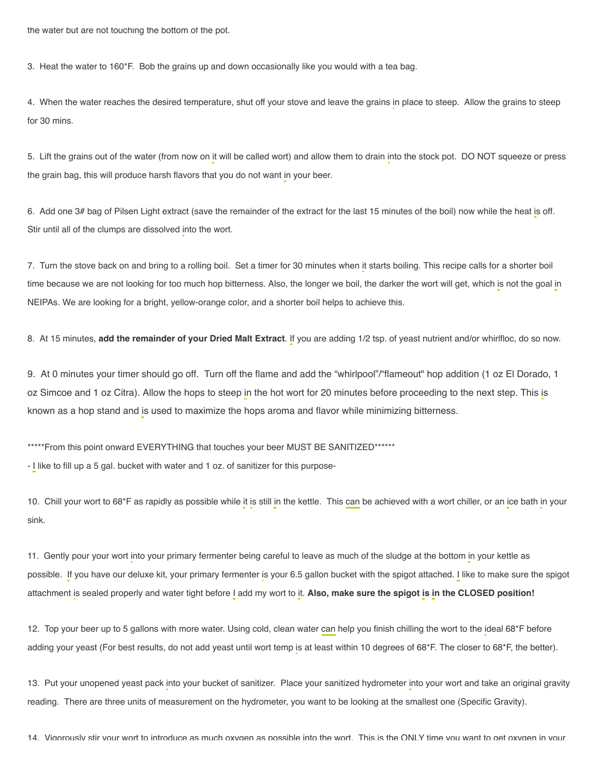3. Heat the water to 160\*F. Bob the grains up and down occasionally like you would with a tea bag.

4. When the water reaches the desired temperature, shut off your stove and leave the grains in place to steep. Allow the grains to steep for 30 mins.

5. Lift the grains out of the water (from now on it will be called wort) and allow them to drain into the stock pot. DO NOT squeeze or press the grain bag, this will produce harsh flavors that you do not want in your beer.

6. Add one 3# bag of Pilsen Light extract (save the remainder of the extract for the last 15 minutes of the boil) now while the heat is off. Stir until all of the clumps are dissolved into the wort.

7. Turn the stove back on and bring to a rolling boil. Set a timer for 30 minutes when it starts boiling. This recipe calls for a shorter boil time because we are not looking for too much hop bitterness. Also, the longer we boil, the darker the wort will get, which is not the goal in NEIPAs. We are looking for a bright, yellow-orange color, and a shorter boil helps to achieve this.

8. At 15 minutes, add the remainder of your Dried Malt Extract. If you are adding 1/2 tsp. of yeast nutrient and/or whirlfloc, do so now.

9. At 0 minutes your timer should go off. Turn off the flame and add the "whirlpool"/"flameout" hop addition (1 oz El Dorado, 1 oz Simcoe and 1 oz Citra). Allow the hops to steep in the hot wort for 20 minutes before proceeding to the next step. This is known as a hop stand and is used to maximize the hops aroma and flavor while minimizing bitterness.

\*\*\*\*\*From this point onward EVERYTHING that touches your beer MUST BE SANITIZED\*\*\*\*\*\*

- I like to fill up a 5 gal. bucket with water and 1 oz. of sanitizer for this purpose-

10. Chill your wort to 68\*F as rapidly as possible while it is still in the kettle. This can be achieved with a wort chiller, or an ice bath in your sink.

11. Gently pour your wort into your primary fermenter being careful to leave as much of the sludge at the bottom in your kettle as possible. If you have our deluxe kit, your primary fermenter is your 6.5 gallon bucket with the spigot attached. I like to make sure the spigot attachment is sealed properly and water tight before I add my wort to it. Also, make sure the spigot is in the CLOSED position!

12. Top your beer up to 5 gallons with more water. Using cold, clean water can help you finish chilling the wort to the ideal 68\*F before adding your yeast (For best results, do not add yeast until wort temp is at least within 10 degrees of 68\*F. The closer to 68\*F, the better).

13. Put your unopened yeast pack into your bucket of sanitizer. Place your sanitized hydrometer into your wort and take an original gravity reading. There are three units of measurement on the hydrometer, you want to be looking at the smallest one (Specific Gravity).

14. Vigorously stir your wort to introduce as much oxygen as possible into the wort. This is the ONLY time you want to get oxygen in your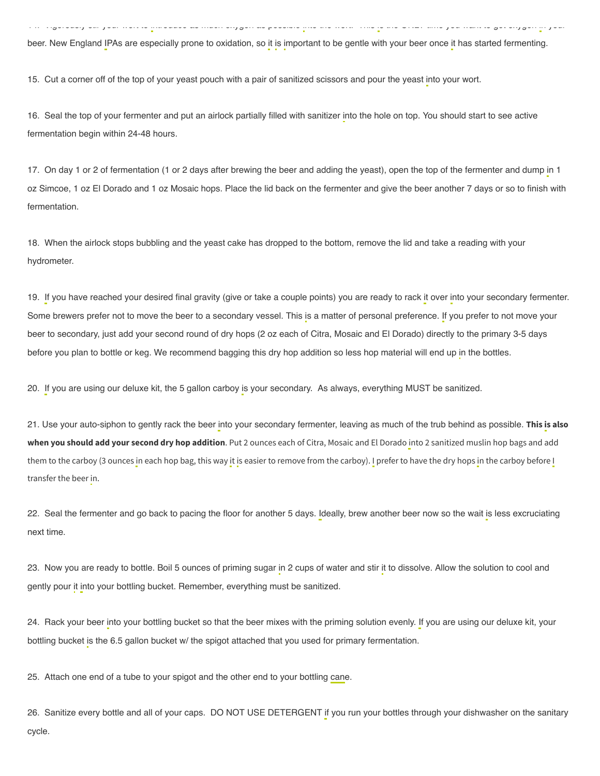beer. New England IPAs are especially prone to oxidation, so it is important to be gentle with your beer once it has started fermenting.

14. Vigorously stir your wort to introduce as much oxygen as possible into the wort. This is the ONLY time you want to get oxygen in your

15. Cut a corner off of the top of your yeast pouch with a pair of sanitized scissors and pour the yeast into your wort.

16. Seal the top of your fermenter and put an airlock partially filled with sanitizer into the hole on top. You should start to see active fermentation begin within 24-48 hours.

17. On day 1 or 2 of fermentation (1 or 2 days after brewing the beer and adding the yeast), open the top of the fermenter and dump in 1 oz Simcoe, 1 oz El Dorado and 1 oz Mosaic hops. Place the lid back on the fermenter and give the beer another 7 days or so to finish with fermentation.

18. When the airlock stops bubbling and the yeast cake has dropped to the bottom, remove the lid and take a reading with your hydrometer.

19. If you have reached your desired final gravity (give or take a couple points) you are ready to rack it over into your secondary fermenter. Some brewers prefer not to move the beer to a secondary vessel. This is a matter of personal preference. If you prefer to not move your beer to secondary, just add your second round of dry hops (2 oz each of Citra, Mosaic and El Dorado) directly to the primary 3-5 days before you plan to bottle or keg. We recommend bagging this dry hop addition so less hop material will end up in the bottles.

20. If you are using our deluxe kit, the 5 gallon carboy is your secondary. As always, everything MUST be sanitized.

21. Use your auto-siphon to gently rack the beer into your secondary fermenter, leaving as much of the trub behind as possible. **This is also when you should add your second dry hop addition**. Put 2 ounces each of Citra, Mosaic and El Dorado into 2 sanitized muslin hop bags and add them to the carboy (3 ounces in each hop bag, this way it is easier to remove from the carboy). I prefer to have the dry hops in the carboy before I transfer the beer in.

22. Seal the fermenter and go back to pacing the floor for another 5 days. Ideally, brew another beer now so the wait is less excruciating next time.

23. Now you are ready to bottle. Boil 5 ounces of priming sugar in 2 cups of water and stir it to dissolve. Allow the solution to cool and gently pour it into your bottling bucket. Remember, everything must be sanitized.

24. Rack your beer into your bottling bucket so that the beer mixes with the priming solution evenly. If you are using our deluxe kit, your bottling bucket is the 6.5 gallon bucket w/ the spigot attached that you used for primary fermentation.

25. Attach one end of a tube to your spigot and the other end to your bottling cane.

26. Sanitize every bottle and all of your caps. DO NOT USE DETERGENT if you run your bottles through your dishwasher on the sanitary cycle.